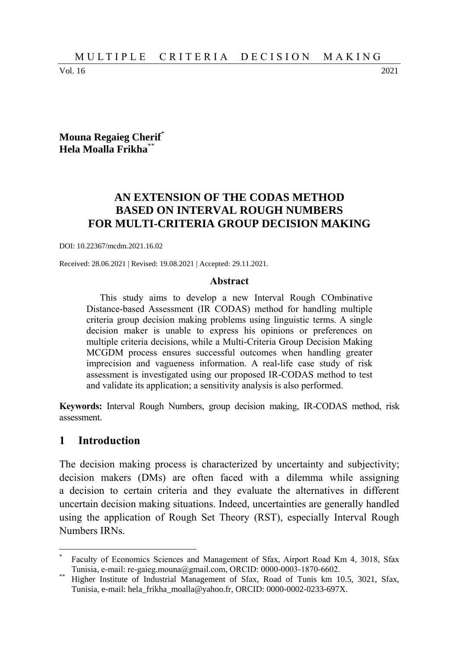Vol. 16 2021

## **Mouna Regaieg Cherif**\* **Hela Moalla Frikha**\*\*

# **AN EXTENSION OF THE CODAS METHOD BASED ON INTERVAL ROUGH NUMBERS FOR MULTI-CRITERIA GROUP DECISION MAKING**

DOI: 10.22367/mcdm.2021.16.02

Received: 28.06.2021 | Revised: 19.08.2021 | Accepted: 29.11.2021.

#### **Abstract**

This study aims to develop a new Interval Rough COmbinative Distance-based Assessment (IR CODAS) method for handling multiple criteria group decision making problems using linguistic terms. A single decision maker is unable to express his opinions or preferences on multiple criteria decisions, while a Multi-Criteria Group Decision Making MCGDM process ensures successful outcomes when handling greater imprecision and vagueness information. A real-life case study of risk assessment is investigated using our proposed IR-CODAS method to test and validate its application; a sensitivity analysis is also performed.

**Keywords:** Interval Rough Numbers, group decision making, IR-CODAS method, risk assessment.

#### **1 Introduction**

 $\overline{a}$ 

The decision making process is characterized by uncertainty and subjectivity; decision makers (DMs) are often faced with a dilemma while assigning a decision to certain criteria and they evaluate the alternatives in different uncertain decision making situations. Indeed, uncertainties are generally handled using the application of Rough Set Theory (RST), especially Interval Rough Numbers IRNs.

<sup>\*</sup> Faculty of Economics Sciences and Management of Sfax, Airport Road Km 4, 3018, Sfax Tunisia, e-mail: re-gaieg.mouna@gmail.com, ORCID: 0000-0003-1870-6602.

Higher Institute of Industrial Management of Sfax, Road of Tunis km 10.5, 3021, Sfax, Tunisia, e-mail: hela\_frikha\_moalla@yahoo.fr, ORCID: 0000-0002-0233-697X.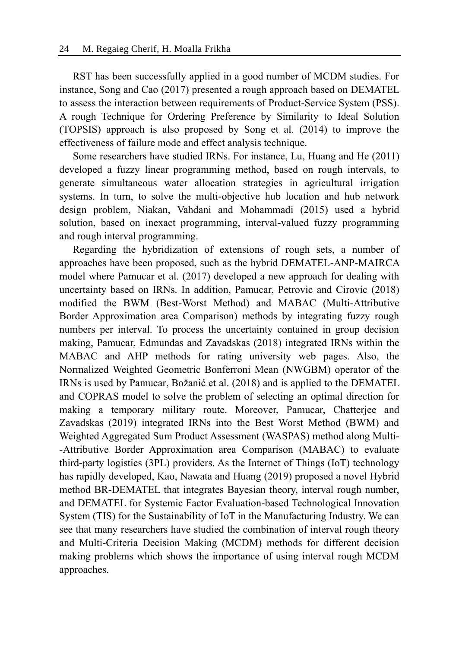RST has been successfully applied in a good number of MCDM studies. For instance, Song and Cao (2017) presented a rough approach based on DEMATEL to assess the interaction between requirements of Product-Service System (PSS). A rough Technique for Ordering Preference by Similarity to Ideal Solution (TOPSIS) approach is also proposed by Song et al. (2014) to improve the effectiveness of failure mode and effect analysis technique.

Some researchers have studied IRNs. For instance, Lu, Huang and He (2011) developed a fuzzy linear programming method, based on rough intervals, to generate simultaneous water allocation strategies in agricultural irrigation systems. In turn, to solve the multi-objective hub location and hub network design problem, Niakan, Vahdani and Mohammadi (2015) used a hybrid solution, based on inexact programming, interval-valued fuzzy programming and rough interval programming.

Regarding the hybridization of extensions of rough sets, a number of approaches have been proposed, such as the hybrid DEMATEL-ANP-MAIRCA model where Pamucar et al. (2017) developed a new approach for dealing with uncertainty based on IRNs. In addition, Pamucar, Petrovic and Cirovic (2018) modified the BWM (Best-Worst Method) and MABAC (Multi-Attributive Border Approximation area Comparison) methods by integrating fuzzy rough numbers per interval. To process the uncertainty contained in group decision making, Pamucar, Edmundas and Zavadskas (2018) integrated IRNs within the MABAC and AHP methods for rating university web pages. Also, the Normalized Weighted Geometric Bonferroni Mean (NWGBM) operator of the IRNs is used by Pamucar, Božanić et al. (2018) and is applied to the DEMATEL and COPRAS model to solve the problem of selecting an optimal direction for making a temporary military route. Moreover, Pamucar, Chatterjee and Zavadskas (2019) integrated IRNs into the Best Worst Method (BWM) and Weighted Aggregated Sum Product Assessment (WASPAS) method along Multi- -Attributive Border Approximation area Comparison (MABAC) to evaluate third-party logistics (3PL) providers. As the Internet of Things (IoT) technology has rapidly developed, Kao, Nawata and Huang (2019) proposed a novel Hybrid method BR-DEMATEL that integrates Bayesian theory, interval rough number, and DEMATEL for Systemic Factor Evaluation-based Technological Innovation System (TIS) for the Sustainability of IoT in the Manufacturing Industry. We can see that many researchers have studied the combination of interval rough theory and Multi-Criteria Decision Making (MCDM) methods for different decision making problems which shows the importance of using interval rough MCDM approaches.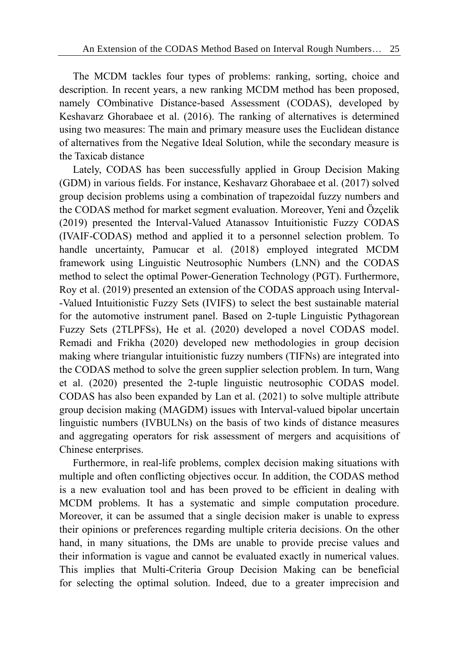The MCDM tackles four types of problems: ranking, sorting, choice and description. In recent years, a new ranking MCDM method has been proposed, namely COmbinative Distance-based Assessment (CODAS), developed by Keshavarz Ghorabaee et al. (2016). The ranking of alternatives is determined using two measures: The main and primary measure uses the Euclidean distance of alternatives from the Negative Ideal Solution, while the secondary measure is the Taxicab distance

Lately, CODAS has been successfully applied in Group Decision Making (GDM) in various fields. For instance, Keshavarz Ghorabaee et al. (2017) solved group decision problems using a combination of trapezoidal fuzzy numbers and the CODAS method for market segment evaluation. Moreover, Yeni and Özçelik (2019) presented the Interval-Valued Atanassov Intuitionistic Fuzzy CODAS (IVAIF-CODAS) method and applied it to a personnel selection problem. To handle uncertainty, Pamucar et al. (2018) employed integrated MCDM framework using Linguistic Neutrosophic Numbers (LNN) and the CODAS method to select the optimal Power-Generation Technology (PGT). Furthermore, Roy et al. (2019) presented an extension of the CODAS approach using Interval- -Valued Intuitionistic Fuzzy Sets (IVIFS) to select the best sustainable material for the automotive instrument panel. Based on 2-tuple Linguistic Pythagorean Fuzzy Sets (2TLPFSs), He et al. (2020) developed a novel CODAS model. Remadi and Frikha (2020) developed new methodologies in group decision making where triangular intuitionistic fuzzy numbers (TIFNs) are integrated into the CODAS method to solve the green supplier selection problem. In turn, Wang et al. (2020) presented the 2-tuple linguistic neutrosophic CODAS model. CODAS has also been expanded by Lan et al. (2021) to solve multiple attribute group decision making (MAGDM) issues with Interval-valued bipolar uncertain linguistic numbers (IVBULNs) on the basis of two kinds of distance measures and aggregating operators for risk assessment of mergers and acquisitions of Chinese enterprises.

Furthermore, in real-life problems, complex decision making situations with multiple and often conflicting objectives occur. In addition, the CODAS method is a new evaluation tool and has been proved to be efficient in dealing with MCDM problems. It has a systematic and simple computation procedure. Moreover, it can be assumed that a single decision maker is unable to express their opinions or preferences regarding multiple criteria decisions. On the other hand, in many situations, the DMs are unable to provide precise values and their information is vague and cannot be evaluated exactly in numerical values. This implies that Multi-Criteria Group Decision Making can be beneficial for selecting the optimal solution. Indeed, due to a greater imprecision and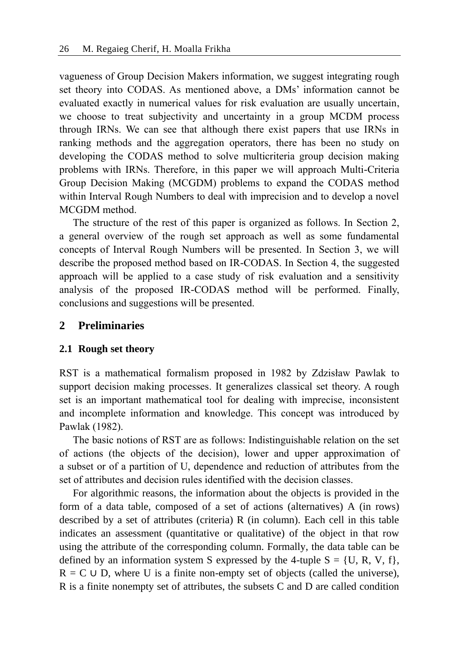vagueness of Group Decision Makers information, we suggest integrating rough set theory into CODAS. As mentioned above, a DMs' information cannot be evaluated exactly in numerical values for risk evaluation are usually uncertain, we choose to treat subjectivity and uncertainty in a group MCDM process through IRNs. We can see that although there exist papers that use IRNs in ranking methods and the aggregation operators, there has been no study on developing the CODAS method to solve multicriteria group decision making problems with IRNs. Therefore, in this paper we will approach Multi-Criteria Group Decision Making (MCGDM) problems to expand the CODAS method within Interval Rough Numbers to deal with imprecision and to develop a novel MCGDM method.

The structure of the rest of this paper is organized as follows. In Section 2, a general overview of the rough set approach as well as some fundamental concepts of Interval Rough Numbers will be presented. In Section 3, we will describe the proposed method based on IR-CODAS. In Section 4, the suggested approach will be applied to a case study of risk evaluation and a sensitivity analysis of the proposed IR-CODAS method will be performed. Finally, conclusions and suggestions will be presented.

## **2 Preliminaries**

## **2.1 Rough set theory**

RST is a mathematical formalism proposed in 1982 by Zdzisław Pawlak to support decision making processes. It generalizes classical set theory. A rough set is an important mathematical tool for dealing with imprecise, inconsistent and incomplete information and knowledge. This concept was introduced by Pawlak (1982).

The basic notions of RST are as follows: Indistinguishable relation on the set of actions (the objects of the decision), lower and upper approximation of a subset or of a partition of U, dependence and reduction of attributes from the set of attributes and decision rules identified with the decision classes.

For algorithmic reasons, the information about the objects is provided in the form of a data table, composed of a set of actions (alternatives) A (in rows) described by a set of attributes (criteria) R (in column). Each cell in this table indicates an assessment (quantitative or qualitative) of the object in that row using the attribute of the corresponding column. Formally, the data table can be defined by an information system S expressed by the 4-tuple  $S = \{U, R, V, f\}$ ,  $R = C \cup D$ , where U is a finite non-empty set of objects (called the universe), R is a finite nonempty set of attributes, the subsets C and D are called condition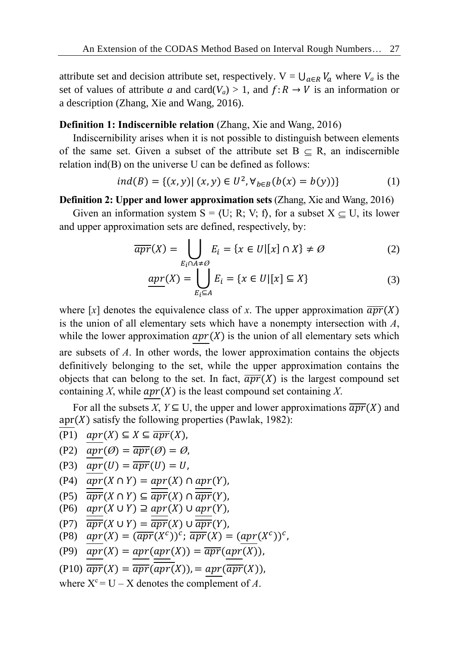attribute set and decision attribute set, respectively.  $V = \bigcup_{a \in R} V_a$  where  $V_a$  is the set of values of attribute *a* and card( $V_a$ ) > 1, and  $f: R \rightarrow V$  is an information or a description (Zhang, Xie and Wang, 2016).

### **Definition 1: Indiscernible relation** (Zhang, Xie and Wang, 2016)

Indiscernibility arises when it is not possible to distinguish between elements of the same set. Given a subset of the attribute set  $B \subset R$ , an indiscernible relation ind(B) on the universe U can be defined as follows:

$$
ind(B) = \{(x, y) | (x, y) \in U^2, \forall_{b \in B} (b(x) = b(y))\}
$$
 (1)

**Definition 2: Upper and lower approximation sets** (Zhang, Xie and Wang, 2016)

Given an information system  $S = \langle U; R; V; f \rangle$ , for a subset  $X \subseteq U$ , its lower and upper approximation sets are defined, respectively, by:

$$
\overline{apr}(X) = \bigcup_{E_i \cap A \neq \emptyset} E_i = \{ x \in U | [x] \cap X \} \neq \emptyset
$$
 (2)

$$
\underline{apr(X)} = \bigcup_{E_i \subseteq A} E_i = \{ x \in U | [x] \subseteq X \}
$$
 (3)

where [x] denotes the equivalence class of x. The upper approximation  $\overline{apr}(X)$ is the union of all elementary sets which have a nonempty intersection with *A*, while the lower approximation  $apr(X)$  is the union of all elementary sets which are subsets of *A*. In other words, the lower approximation contains the objects definitively belonging to the set, while the upper approximation contains the objects that can belong to the set. In fact,  $\overline{apr}(X)$  is the largest compound set containing *X*, while  $apr(X)$  is the least compound set containing *X*.

For all the subsets *X*,  $Y \subseteq U$ , the upper and lower approximations  $\overline{apr}(X)$  and  $apr(X)$  satisfy the following properties (Pawlak, 1982):

(P1)  $apr(X) \subseteq X \subseteq \overline{apr(X)}$ ,

$$
(P2) \quad apr(\emptyset) = \overline{apr}(\emptyset) = \emptyset,
$$

$$
(P3) \quad apr(U) = \overline{apr}(U) = U,
$$

$$
(P4) \quad apr(X \cap Y) = apr(X) \cap apr(Y),
$$

$$
(P5) \quad \overline{apr}(X \cap Y) \subseteq \overline{apr}(X) \cap \overline{apr}(Y),
$$

- (P6)  $apr(X \cup Y) \supseteq apr(X) \cup apr(Y)$ ,
- (P7)  $\overline{apr}(X \cup Y) = \overline{apr}(X) \cup \overline{apr}(Y),$

$$
(P8) \quad apr(X) = (\overline{apr}(X^c))^c; \ \overline{apr}(X) = (apr(X^c))^c,
$$

$$
(P9) \quad apr(X) = apr(apr(X)) = \overline{apr}(apr(X)),
$$

$$
(P10)\ \overline{apr}(X) = \overline{apr}(\overline{apr}(X)) = apr(\overline{apr}(X)),
$$

where  $X^c = U - X$  denotes the complement of A.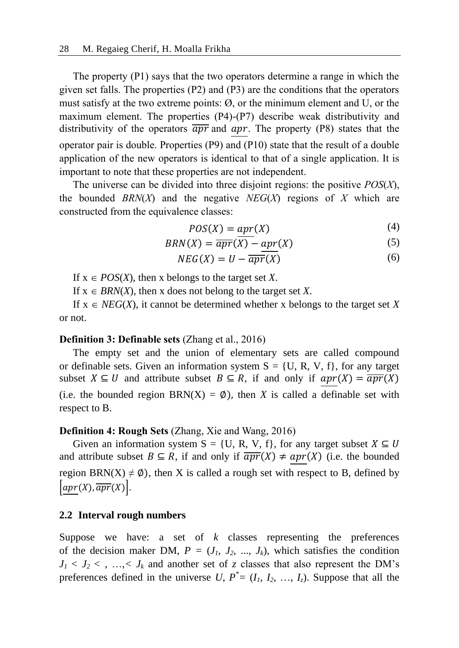The property (P1) says that the two operators determine a range in which the given set falls. The properties (P2) and (P3) are the conditions that the operators must satisfy at the two extreme points: Ø, or the minimum element and U, or the maximum element. The properties (P4)-(P7) describe weak distributivity and distributivity of the operators  $\overline{apr}$  and  $apr$ . The property (P8) states that the operator pair is double. Properties (P9) and (P10) state that the result of a double application of the new operators is identical to that of a single application. It is important to note that these properties are not independent.

The universe can be divided into three disjoint regions: the positive *POS*(*X*), the bounded *BRN*(*X*) and the negative *NEG*(*X*) regions of *X* which are constructed from the equivalence classes:

$$
POS(X) = apr(X) \tag{4}
$$

$$
BRN(X) = \overline{apr}(X) - apr(X) \tag{5}
$$

$$
NEG(X) = U - \overline{apr}(X) \tag{6}
$$

If  $x \in POS(X)$ , then x belongs to the target set X.

If  $x \in BRN(X)$ , then x does not belong to the target set X.

If  $x \in NEG(X)$ , it cannot be determined whether x belongs to the target set X or not.

#### **Definition 3: Definable sets** (Zhang et al., 2016)

The empty set and the union of elementary sets are called compound or definable sets. Given an information system  $S = \{U, R, V, f\}$ , for any target subset  $X \subseteq U$  and attribute subset  $B \subseteq R$ , if and only if  $apr(X) = \overline{apr}(X)$ (i.e. the bounded region BRN(X) =  $\emptyset$ ), then *X* is called a definable set with respect to B.

#### **Definition 4: Rough Sets** (Zhang, Xie and Wang, 2016)

Given an information system S = {U, R, V, f}, for any target subset  $X \subseteq U$ and attribute subset  $B \subseteq R$ , if and only if  $\overline{apr}(X) \ne apr(X)$  (i.e. the bounded region BRN(X)  $\neq \emptyset$ ), then X is called a rough set with respect to B, defined by  $\left[apr(X), \overline{apr}(X) \right]$ .

## **2.2 Interval rough numbers**

Suppose we have: a set of *k* classes representing the preferences of the decision maker DM,  $P = (J_1, J_2, ..., J_k)$ , which satisfies the condition  $J_1$  <  $J_2$  < , …, <  $J_k$  and another set of *z* classes that also represent the DM's preferences defined in the universe U,  $P^* = (I_1, I_2, ..., I_z)$ . Suppose that all the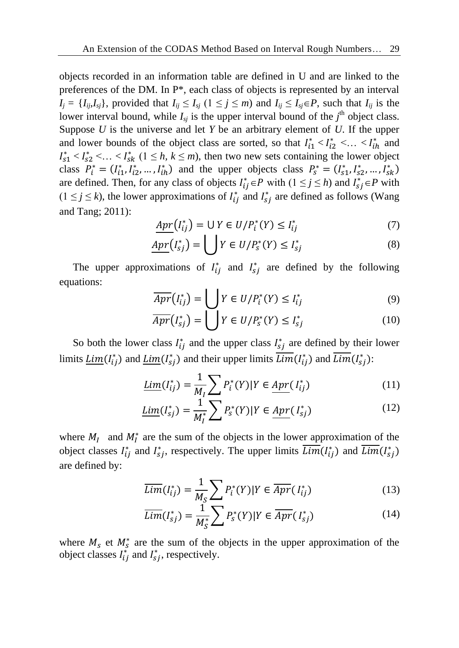objects recorded in an information table are defined in U and are linked to the preferences of the DM. In P\*, each class of objects is represented by an interval  $I_i = \{I_{ij}, I_{sj}\}\$ , provided that  $I_{ij} \leq I_{sj}$  ( $1 \leq j \leq m$ ) and  $I_{ij} \leq I_{sj} \in P$ , such that  $I_{ij}$  is the lower interval bound, while  $I_{sj}$  is the upper interval bound of the  $j<sup>th</sup>$  object class. Suppose *U* is the universe and let *Y* be an arbitrary element of *U*. If the upper and lower bounds of the object class are sorted, so that  $I_{i1}^* < I_{i2}^* < ... < I_{ih}^*$  and  $I_{s1}^* < I_{s2}^* < ... < I_{sk}^*$  ( $1 \leq h, k \leq m$ ), then two new sets containing the lower object class  $P_i^* = (I_{i1}^*, I_{i2}^*, \dots, I_{ih}^*)$  and the upper objects class  $P_s^* = (I_{s1}^*, I_{s2}^*, \dots, I_{sk}^*)$ are defined. Then, for any class of objects  $I_{ij}^* \in P$  with  $(1 \le j \le h)$  and  $I_{sj}^* \in P$  with  $(1 \le j \le k)$ , the lower approximations of  $I_{ij}^*$  and  $I_{sj}^*$  are defined as follows (Wang and Tang; 2011):

$$
Apr(I_{ij}^*) = \bigcup Y \in U/P_i^*(Y) \le I_{ij}^* \tag{7}
$$

$$
Apr(I_{sj}^*) = \bigcup Y \in U/P_s^*(Y) \leq I_{sj}^* \tag{8}
$$

The upper approximations of  $I_{ij}^*$  and  $I_{sj}^*$  are defined by the following equations:

$$
\overline{Apr}(I_{ij}^*) = \bigcup Y \in U/P_i^*(Y) \leq I_{ij}^*
$$
\n(9)

$$
\overline{Apr}(I_{sj}^*) = \bigcup Y \in U/P_s^*(Y) \leq I_{sj}^* \tag{10}
$$

So both the lower class  $I_{ij}^*$  and the upper class  $I_{sj}^*$  are defined by their lower limits  $\underline{Lim}(I_{ij}^*)$  and  $\underline{Lim}(I_{sj}^*)$  and their upper limits  $\overline{Lim}(I_{ij}^*)$  and  $\overline{Lim}(I_{sj}^*)$ :

$$
\underline{\text{Lim}}(I_{ij}^*) = \frac{1}{M_I} \sum P_i^*(Y) | Y \in \underline{\text{Apr}}(I_{ij}^*)
$$
\n(11)

$$
\underline{Lim}(I_{sj}^*) = \frac{1}{M_I^*} \sum P_s^*(Y) | Y \in \underline{Apr}(I_{sj}^*)
$$
\n(12)

where  $M_I$  and  $M_I^*$  are the sum of the objects in the lower approximation of the object classes  $I_{ij}^*$  and  $I_{sj}^*$ , respectively. The upper limits  $\overline{Lim}(I_{ij}^*)$  and  $\overline{Lim}(I_{sj}^*)$ are defined by:

$$
\overline{Lim}(I_{ij}^*) = \frac{1}{M_S} \sum P_i^*(Y) | Y \in \overline{Apr}(I_{ij}^*)
$$
\n(13)

$$
\overline{Lim}(I_{sj}^*) = \frac{1}{M_S^*} \sum P_s^*(Y) | Y \in \overline{Apr}(I_{sj}^*)
$$
\n(14)

where  $M_s$  et  $M_s^*$  are the sum of the objects in the upper approximation of the object classes  $I_{ij}^*$  and  $I_{sj}^*$ , respectively.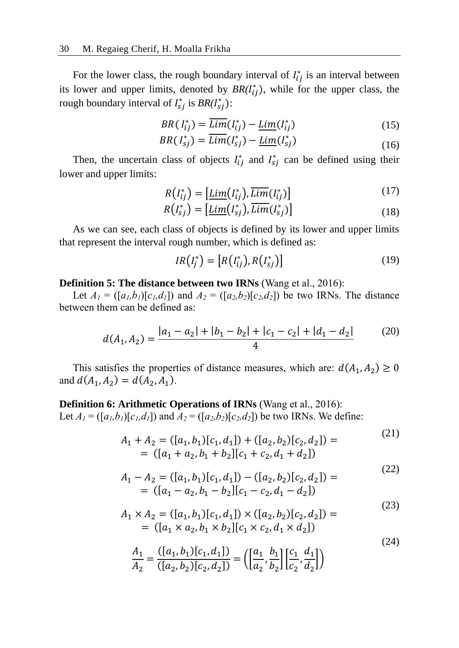For the lower class, the rough boundary interval of  $I_{ij}^*$  is an interval between its lower and upper limits, denoted by  $BR(I_{ij}^*)$ , while for the upper class, the rough boundary interval of  $I_{sj}^*$  is  $BR(I_{sj}^*)$ :

$$
BR(I_{ij}^*) = \overline{Lim}(I_{ij}^*) - \underline{Lim}(I_{ij}^*)
$$
\n(15)

$$
BR(I_{sj}^*) = \overline{Lim}(I_{sj}^*) - \underline{Lim}(I_{sj}^*)
$$
\n(16)

Then, the uncertain class of objects  $I_{ij}^*$  and  $I_{sj}^*$  can be defined using their lower and upper limits:

$$
R(I_{ij}^*) = \left[\underline{\text{Lim}}(I_{ij}^*), \overline{\text{Lim}}(I_{ij}^*)\right] \tag{17}
$$

$$
R(I_{sj}^*) = \left[\underline{\text{Lim}}(I_{sj}^*), \overline{\text{Lim}}(I_{sj}^*)\right] \tag{18}
$$

As we can see, each class of objects is defined by its lower and upper limits that represent the interval rough number, which is defined as:

$$
IR\left(I_j^*\right) = \left[R\left(I_{ij}^*\right), R\left(I_{sj}^*\right)\right] \tag{19}
$$

#### **Definition 5: The distance between two IRNs** (Wang et al., 2016):

Let  $A_1 = ([a_1, b_1][c_1, d_1])$  and  $A_2 = ([a_2, b_2)[c_2, d_2])$  be two IRNs. The distance between them can be defined as:

$$
d(A_1, A_2) = \frac{|a_1 - a_2| + |b_1 - b_2| + |c_1 - c_2| + |d_1 - d_2|}{4}
$$
 (20)

This satisfies the properties of distance measures, which are:  $d(A_1, A_2) \ge 0$ and  $d(A_1, A_2) = d(A_2, A_1)$ .

#### **Definition 6: Arithmetic Operations of IRNs** (Wang et al., 2016):

Let  $A_1 = (\lceil a_1, b_1 \rceil \lceil c_1, d_1 \rceil)$  and  $A_2 = (\lceil a_2, b_2 \rceil \lceil c_2, d_2 \rceil)$  be two IRNs. We define:

$$
A_1 + A_2 = ([a_1, b_1)[c_1, d_1]) + ([a_2, b_2)[c_2, d_2]) =
$$
  
= ([a<sub>1</sub> + a<sub>2</sub>, b<sub>1</sub> + b<sub>2</sub>][c<sub>1</sub> + c<sub>2</sub>, d<sub>1</sub> + d<sub>2</sub>]) (21)

$$
A_1 - A_2 = ([a_1, b_1)[c_1, d_1]) - ([a_2, b_2)[c_2, d_2]) =
$$
  
= ([a<sub>1</sub> - a<sub>2</sub>, b<sub>1</sub> - b<sub>2</sub>][c<sub>1</sub> - c<sub>2</sub>, d<sub>1</sub> - d<sub>2</sub>]) (22)

$$
A_1 \times A_2 = ([a_1, b_1)[c_1, d_1]) \times ([a_2, b_2)[c_2, d_2]) =
$$
  
= ([a<sub>1</sub> × a<sub>2</sub>, b<sub>1</sub> × b<sub>2</sub>][c<sub>1</sub> × c<sub>2</sub>, d<sub>1</sub> × d<sub>2</sub>]) (23)

$$
\frac{A_1}{A_2} = \frac{([a_1, b_1)[c_1, d_1])}{([a_2, b_2)[c_2, d_2])} = \left( \left[ \frac{a_1}{a_2}, \frac{b_1}{b_2} \right] \left[ \frac{c_1}{c_2}, \frac{d_1}{d_2} \right] \right)
$$
\n(24)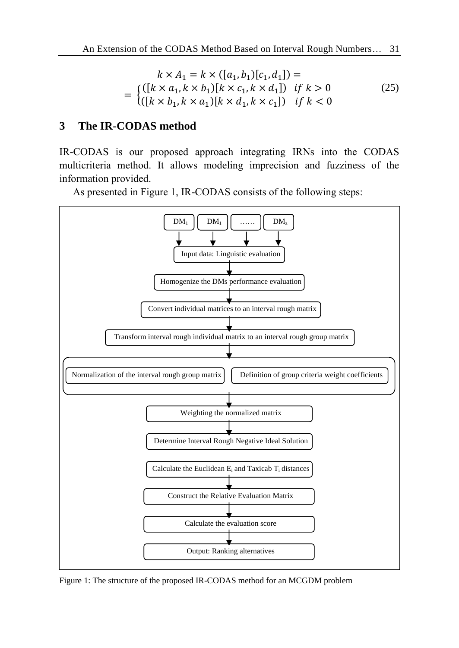$$
k \times A_1 = k \times ([a_1, b_1)[c_1, d_1]) =
$$
  
= 
$$
\begin{cases} ([k \times a_1, k \times b_1)[k \times c_1, k \times d_1]) & \text{if } k > 0 \\ ([k \times b_1, k \times a_1)[k \times d_1, k \times c_1]) & \text{if } k < 0 \end{cases}
$$
 (25)

## **3 The IR-CODAS method**

IR-CODAS is our proposed approach integrating IRNs into the CODAS multicriteria method. It allows modeling imprecision and fuzziness of the information provided.

As presented in Figure 1, IR-CODAS consists of the following steps:



Figure 1: The structure of the proposed IR-CODAS method for an MCGDM problem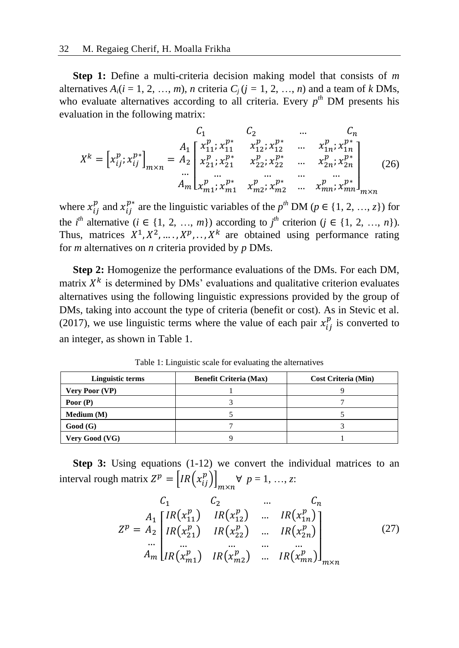**Step 1:** Define a multi-criteria decision making model that consists of *m* alternatives  $A_i(i = 1, 2, ..., m)$ , *n* criteria  $C_i(i = 1, 2, ..., n)$  and a team of *k* DMs, who evaluate alternatives according to all criteria. Every  $p^{th}$  DM presents his evaluation in the following matrix:

$$
X^{k} = \begin{bmatrix} x_{ij}^{p}, x_{ij}^{p*} \end{bmatrix}_{m \times n} = \begin{bmatrix} A_{1} \begin{bmatrix} x_{11}^{p}, x_{11}^{p*} & x_{12}^{p}, x_{12}^{p*} & \dots & x_{1n}^{p}, x_{1n}^{p*} \\ x_{21}^{p}, x_{21}^{p*} & x_{22}^{p}, x_{22}^{p*} & \dots & x_{2n}^{p}, x_{2n}^{p*} \\ \dots & \dots & \dots & \dots & \dots \\ A_{m} \begin{bmatrix} x_{m1}^{p}, x_{m1}^{p*} & x_{m2}^{p}, x_{m2}^{p*} & \dots & x_{mn}^{p}, x_{mn}^{p*} \\ x_{m1}^{p}, x_{m1}^{p*} & x_{m2}^{p}, x_{m2}^{p*} & \dots & x_{mn}^{p}, x_{mn}^{p*} \end{bmatrix}_{m \times n}
$$
(26)

where  $x_{ij}^p$  and  $x_{ij}^{p*}$  are the linguistic variables of the  $p^{th}$  DM ( $p \in \{1, 2, ..., z\}$ ) for the *i*<sup>th</sup> alternative ( $i \in \{1, 2, ..., m\}$ ) according to  $j$ <sup>th</sup> criterion ( $j \in \{1, 2, ..., n\}$ ). Thus, matrices  $X^1, X^2, \ldots, X^p, \ldots, X^k$  are obtained using performance rating for *m* alternatives on *n* criteria provided by *p* DMs.

**Step 2:** Homogenize the performance evaluations of the DMs. For each DM, matrix  $X<sup>k</sup>$  is determined by DMs' evaluations and qualitative criterion evaluates alternatives using the following linguistic expressions provided by the group of DMs, taking into account the type of criteria (benefit or cost). As in Stevic et al. (2017), we use linguistic terms where the value of each pair  $x_{ij}^p$  is converted to an integer, as shown in Table 1.

| Linguistic terms      | <b>Benefit Criteria (Max)</b> | <b>Cost Criteria (Min)</b> |
|-----------------------|-------------------------------|----------------------------|
| <b>Very Poor (VP)</b> |                               |                            |
| Poor $(P)$            |                               |                            |
| Medium (M)            |                               |                            |
| Good(G)               |                               |                            |
| Very Good (VG)        |                               |                            |

Table 1: Linguistic scale for evaluating the alternatives

**Step 3:** Using equations (1-12) we convert the individual matrices to an interval rough matrix  $Z^p = \left[ IR(x_{ij}^p) \right]_{m \times n}$   $\forall p = 1, ..., z$ :

$$
C_{1} C_{2} ... C_{n}
$$
  
\n
$$
Z^{p} = A_{2} \begin{bmatrix} IR(x_{11}^{p}) & IR(x_{12}^{p}) & ... & IR(x_{1n}^{p}) \\ IR(x_{21}^{p}) & IR(x_{22}^{p}) & ... & IR(x_{2n}^{p}) \\ ... & ... & ... & ... \\ A_{m} \end{bmatrix}
$$
  
\n
$$
IR(x_{m1}^{p}) \quad IR(x_{m2}^{p}) ... \quad IR(x_{mn}^{p})
$$
  
\n
$$
R(x_{mn}^{p}) \quad ... \quad IR(x_{mn}^{p})
$$
  
\n
$$
R(x_{mn}^{p}) \quad ... \quad IR(x_{mn}^{p})
$$
  
\n
$$
R(x_{mn}^{p})
$$
  
\n
$$
R(x_{mn}^{p})
$$
  
\n
$$
R(x_{mn}^{p})
$$
  
\n
$$
R(x_{mn}^{p})
$$
  
\n
$$
R(x_{mn}^{p})
$$
  
\n
$$
R(x_{mn}^{p})
$$
  
\n
$$
R(x_{mn}^{p})
$$
  
\n
$$
R(x_{mn}^{p})
$$
  
\n
$$
R(x_{mn}^{p})
$$
  
\n
$$
R(x_{mn}^{p})
$$
  
\n
$$
R(x_{mn}^{p})
$$
  
\n
$$
R(x_{mn}^{p})
$$
  
\n
$$
R(x_{mn}^{p})
$$
  
\n
$$
R(x_{mn}^{p})
$$
  
\n
$$
R(x_{mn}^{p})
$$
  
\n
$$
R(x_{mn}^{p})
$$
  
\n
$$
R(x_{mn}^{p})
$$
  
\n
$$
R(x_{mn}^{p})
$$
  
\n
$$
R(x_{mn}^{p})
$$
  
\n
$$
R(x_{mn}^{p})
$$
  
\n
$$
R(x_{mn}^{p})
$$
  
\n
$$
R(x_{mn}^{p})
$$
  
\n
$$
R(x_{mn}^{p})
$$
  
\n
$$
R(x_{mn}^{p})
$$
  
\n
$$
R(x_{mn}^{p})
$$
  
\n
$$
R(x_{mn}^{p})
$$
  
\n<math display="</math>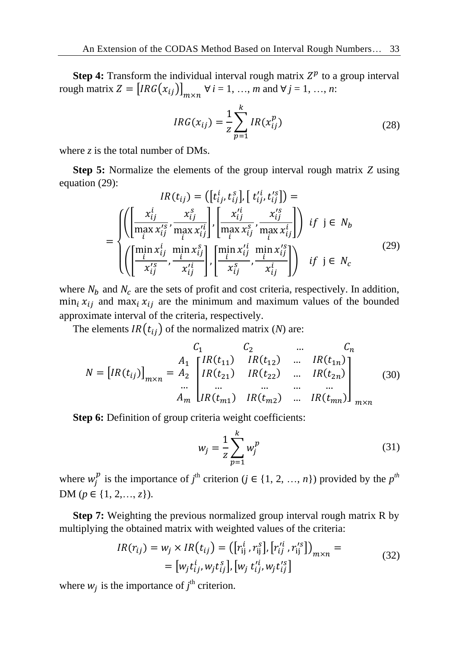**Step 4:** Transform the individual interval rough matrix  $Z^p$  to a group interval rough matrix  $Z = [IRG(x_{ij})]_{m \times n}$   $\forall i = 1, ..., m$  and  $\forall j = 1, ..., n$ :

$$
IRG(x_{ij}) = \frac{1}{z} \sum_{p=1}^{k} IR(x_{ij}^{p})
$$
 (28)

where *z* is the total number of DMs.

**Step 5:** Normalize the elements of the group interval rough matrix *Z* using equation (29):

$$
IR(t_{ij}) = ([t_{ij}^i, t_{ij}^s], [t_{ij}^{\prime i}, t_{ij}^{\prime s}]) =
$$
\n
$$
= \begin{cases}\n\left( \left[ \frac{x_{ij}^i}{\max x_{ij}^s}, \frac{x_{ij}^s}{\max x_{ij}^s} \right], \left[ \frac{x_{ij}^{\prime i}}{\max x_{ij}^s}, \frac{x_{ij}^{\prime s}}{\max x_{ij}^s} \right] \right) & \text{if } j \in N_b \\
\left( \left[ \frac{\min x_{ij}^i}{x_{ij}^{\prime s}}, \frac{\min x_{ij}^s}{x_{ij}^{\prime t}} \right], \left[ \frac{\min x_{ij}^{\prime i}}{\max y_{ij}^s}, \frac{\min x_{ij}^{\prime s}}{\max y_{ij}^s} \right] \right) & \text{if } j \in N_c\n\end{cases} (29)
$$

where  $N_b$  and  $N_c$  are the sets of profit and cost criteria, respectively. In addition,  $\min_i x_{ij}$  and  $\max_i x_{ij}$  are the minimum and maximum values of the bounded approximate interval of the criteria, respectively.

The elements  $IR(t_{ij})$  of the normalized matrix (*N*) are:

$$
N = [IR(t_{ij})]_{m \times n} = \begin{cases} \nC_1 & C_2 & \dots & C_n \\
A_1 & [IR(t_{11}) \quad IR(t_{12}) \quad \dots & IR(t_{1n})] \\
R(t_{21}) & IR(t_{22}) & \dots & IR(t_{2n}) \\
\vdots & \vdots & \ddots & \vdots \\
A_m & [IR(t_{m1}) \quad IR(t_{m2}) \quad \dots & IR(t_{mn})] \\
\end{cases} \tag{30}
$$

**Step 6:** Definition of group criteria weight coefficients:

$$
w_j = \frac{1}{z} \sum_{p=1}^{k} w_j^p
$$
 (31)

where  $w_j^p$  is the importance of *j*<sup>th</sup> criterion (*j*  $\in$  {1, 2, …, *n*}) provided by the *p*<sup>th</sup> DM (*p* ∈ {1, 2, ..., *z*}).

**Step 7:** Weighting the previous normalized group interval rough matrix R by multiplying the obtained matrix with weighted values of the criteria:

$$
IR(r_{ij}) = w_j \times IR(t_{ij}) = ([r_{ij}^i, r_{ij}^s], [r_{ij}^{\prime i}, r_{ij}^{\prime s}])_{m \times n} =
$$
  
= [w\_j t\_{ij}^i, w\_j t\_{ij}^s], [w\_j t\_{ij}^{\prime i}, w\_j t\_{ij}^{\prime s}] (32)

where  $w_j$  is the importance of  $j^{\text{th}}$  criterion.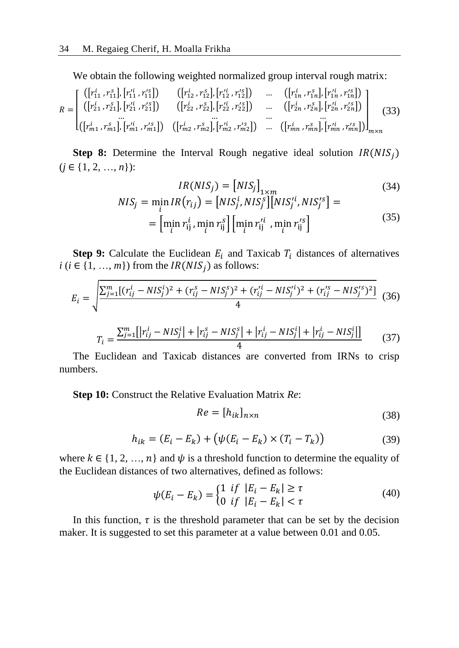We obtain the following weighted normalized group interval rough matrix:

$$
R = \begin{bmatrix} ([r_{11}^i, r_{11}^s], [r_{11}^{\prime i}, r_{11}^{\prime s}]) & ([r_{12}^i, r_{12}^s], [r_{12}^{\prime i}, r_{12}^{\prime s}]) & \dots & ([r_{1n}^i, r_{1n}^s], [r_{1n}^{\prime i}, r_{1n}^{\prime s}]) \\ ([r_{21}^i, r_{21}^s], [r_{21}^{\prime i}, r_{21}^{\prime s}]) & ([r_{22}^i, r_{22}^s], [r_{22}^{\prime i}, r_{22}^{\prime s}]) & \dots & ([r_{2n}^i, r_{2n}^s], [r_{2n}^{\prime i}, r_{2n}^{\prime s}]) \\ \dots & \dots & \dots & \dots & \dots \\ ([r_{m1}^i, r_{m1}^s], [r_{m1}^{\prime i}, r_{m1}^{\prime s}]) & ([r_{m2}^i, r_{m2}^s], [r_{m2}^{\prime i}, r_{m2}^{\prime s}]) & \dots & ([r_{mn}^i, r_{mn}^s], [r_{mn}^{\prime i}, r_{mn}^{\prime s}]) \end{bmatrix}_{m \times n}
$$
(33)

**Step 8:** Determine the Interval Rough negative ideal solution  $IR(NIS<sub>j</sub>)$  $(j \in \{1, 2, ..., n\})$ :

$$
IR(NIS_j) = [NIS_j]_{1 \times m}
$$
  
\n
$$
NIS_j = \min_i IR(r_{ij}) = [NIS_j^i, NIS_j^s][NIS_j'^i, NIS_j'^s] =
$$
\n(34)

$$
= \left[ \min_{i} r_{ij}^{i}, \min_{i} r_{ij}^{s} \right] \left[ \min_{i} r_{ij}^{\prime i}, \min_{i} r_{ij}^{\prime s} \right]
$$
(35)

**Step 9:** Calculate the Euclidean  $E_i$  and Taxicab  $T_i$  distances of alternatives  $i$  ( $i \in \{1, ..., m\}$ ) from the  $IR(NIS_j)$  as follows:

$$
E_i = \sqrt{\frac{\sum_{j=1}^{m} [(r_{ij}^i - NIS_j^i)^2 + (r_{ij}^s - NIS_j^s)^2 + (r_{ij}^{\prime i} - NIS_j^{\prime i})^2 + (r_{ij}^{\prime s} - NIS_j^{\prime s})^2]}{4}}
$$
(36)

$$
T_i = \frac{\sum_{j=1}^{m} [r_{ij}^i - NIS_j^i] + |r_{ij}^s - NIS_j^s| + |r_{ij}^i - NIS_j^i| + |r_{ij}^i - NIS_j^i|]}{4}
$$
(37)

The Euclidean and Taxicab distances are converted from IRNs to crisp numbers.

**Step 10:** Construct the Relative Evaluation Matrix *Re*:

$$
Re = [h_{ik}]_{n \times n} \tag{38}
$$

$$
h_{ik} = (E_i - E_k) + (\psi(E_i - E_k) \times (T_i - T_k))
$$
\n(39)

where  $k \in \{1, 2, ..., n\}$  and  $\psi$  is a threshold function to determine the equality of the Euclidean distances of two alternatives, defined as follows:

$$
\psi(E_i - E_k) = \begin{cases} 1 & \text{if } |E_i - E_k| \ge \tau \\ 0 & \text{if } |E_i - E_k| < \tau \end{cases} \tag{40}
$$

In this function,  $\tau$  is the threshold parameter that can be set by the decision maker. It is suggested to set this parameter at a value between 0.01 and 0.05.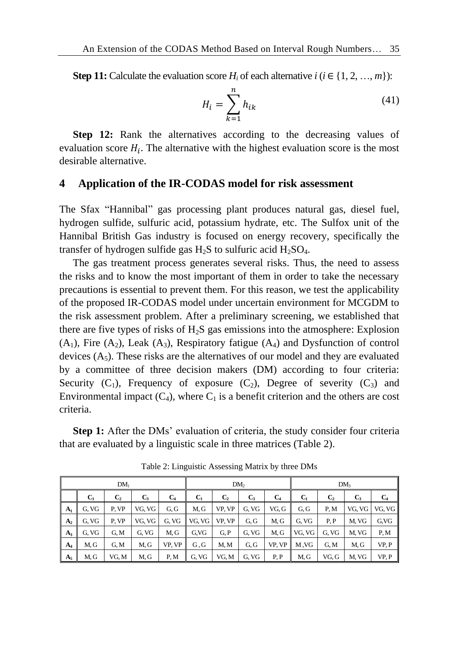**Step 11:** Calculate the evaluation score *H<sub>i</sub>* of each alternative  $i$  ( $i \in \{1, 2, ..., m\}$ ):

$$
H_i = \sum_{k=1}^{n} h_{ik} \tag{41}
$$

**Step 12:** Rank the alternatives according to the decreasing values of evaluation score  $H_i$ . The alternative with the highest evaluation score is the most desirable alternative.

#### **4 Application of the IR-CODAS model for risk assessment**

The Sfax "Hannibal" gas processing plant produces natural gas, diesel fuel, hydrogen sulfide, sulfuric acid, potassium hydrate, etc. The Sulfox unit of the Hannibal British Gas industry is focused on energy recovery, specifically the transfer of hydrogen sulfide gas  $H_2S$  to sulfuric acid  $H_2SO_4$ .

The gas treatment process generates several risks. Thus, the need to assess the risks and to know the most important of them in order to take the necessary precautions is essential to prevent them. For this reason, we test the applicability of the proposed IR-CODAS model under uncertain environment for MCGDM to the risk assessment problem. After a preliminary screening, we established that there are five types of risks of  $H_2S$  gas emissions into the atmosphere: Explosion  $(A_1)$ , Fire  $(A_2)$ , Leak  $(A_3)$ , Respiratory fatigue  $(A_4)$  and Dysfunction of control devices  $(A<sub>5</sub>)$ . These risks are the alternatives of our model and they are evaluated by a committee of three decision makers (DM) according to four criteria: Security  $(C_1)$ , Frequency of exposure  $(C_2)$ , Degree of severity  $(C_3)$  and Environmental impact  $(C_4)$ , where  $C_1$  is a benefit criterion and the others are cost criteria.

**Step 1:** After the DMs' evaluation of criteria, the study consider four criteria that are evaluated by a linguistic scale in three matrices (Table 2).

|                | $DM_1$<br>DM <sub>2</sub> |                |        |                | DM <sub>3</sub> |                |       |                |        |                |        |        |
|----------------|---------------------------|----------------|--------|----------------|-----------------|----------------|-------|----------------|--------|----------------|--------|--------|
|                | $C_1$                     | C <sub>2</sub> | $C_3$  | C <sub>4</sub> | $C_1$           | $\mathbf{C}_2$ | $C_3$ | C <sub>4</sub> | $C_1$  | C <sub>2</sub> | $C_3$  | $C_4$  |
| $A_1$          | G. VG                     | P. VP          | VG. VG | G.G            | M.G             | VP. VP         | G. VG | VG.G           | G.G    | P.M            | VG. VG | VG. VG |
| A <sub>2</sub> | G. VG                     | P. VP          | VG. VG | G, VG          | VG. VG          | VP. VP         | G, G  | M, G           | G. VG  | P, P           | M. VG  | G.VG   |
| $A_3$          | G, VG                     | G.M            | G. VG  | M.G            | G.VG            | G, P           | G. VG | M.G            | VG. VG | G. VG          | M. VG  | P, M   |
| $A_4$          | M. G                      | G.M            | M, G   | VP. VP         | G.G             | M.M            | G.G   | VP. VP         | M.VG   | G.M            | M.G    | VP.P   |
| $A_5$          | M, G                      | VG, M          | M, G   | P, M           | G. VG           | VG. M          | G. VG | P, P           | M.G    | VG.G           | M. VG  | VP.P   |

Table 2: Linguistic Assessing Matrix by three DMs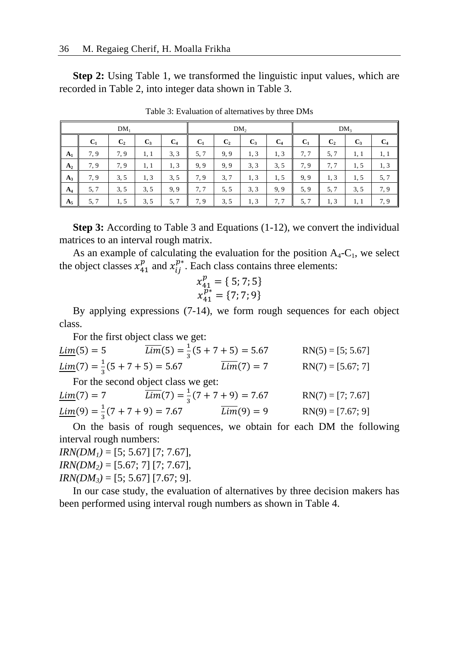**Step 2:** Using Table 1, we transformed the linguistic input values, which are recorded in Table 2, into integer data shown in Table 3.

|       |       | DM <sub>1</sub> |       |                | DM <sub>2</sub> |                |       | DM <sub>3</sub> |       |                |       |       |
|-------|-------|-----------------|-------|----------------|-----------------|----------------|-------|-----------------|-------|----------------|-------|-------|
|       | $C_1$ | C <sub>2</sub>  | $C_3$ | C <sub>4</sub> | $C_1$           | C <sub>2</sub> | $C_3$ | C <sub>4</sub>  | $C_1$ | C <sub>2</sub> | $C_3$ | $C_4$ |
| $A_1$ | 7.9   | 7.9             | 1, 1  | 3, 3           | 5, 7            | 9,9            | 1.3   | 1.3             | 7,7   | 5, 7           | 1, 1  | 1, 1  |
| $A_2$ | 7.9   | 7.9             | 1, 1  | 1, 3           | 9,9             | 9,9            | 3, 3  | 3, 5            | 7, 9  | 7.7            | 1,5   | 1, 3  |
| $A_3$ | 7.9   | 3, 5            | 1, 3  | 3, 5           | 7.9             | 3, 7           | 1,3   | 1.5             | 9,9   | 1, 3           | 1,5   | 5, 7  |
| $A_4$ | 5, 7  | 3, 5            | 3, 5  | 9,9            | 7.7             | 5, 5           | 3, 3  | 9, 9            | 5, 9  | 5, 7           | 3, 5  | 7, 9  |
| $A_5$ | 5, 7  | 1, 5            | 3, 5  | 5,7            | 7.9             | 3, 5           | 1,3   | 7.7             | 5, 7  | 1, 3           | 1, 1  | 7.9   |

Table 3: Evaluation of alternatives by three DMs

**Step 3:** According to Table 3 and Equations (1-12), we convert the individual matrices to an interval rough matrix.

As an example of calculating the evaluation for the position  $A_4 - C_1$ , we select the object classes  $x_{41}^p$  and  $x_{ij}^{p*}$ . Each class contains three elements:

$$
x_{41}^p = \{ 5; 7; 5 \}
$$
  

$$
x_{41}^{p*} = \{ 7; 7; 9 \}
$$

By applying expressions (7-14), we form rough sequences for each object class.

For the first object class we get:

| $Lim(5) = 5$                                         | $\overline{Lim}(5) = \frac{1}{2}(5 + 7 + 5) = 5.67$ |              | $RN(5) = [5; 5.67]$ |
|------------------------------------------------------|-----------------------------------------------------|--------------|---------------------|
| $\underline{Lim}(7) = \frac{1}{3}(5 + 7 + 5) = 5.67$ |                                                     | $Lim(7) = 7$ | $RN(7) = [5.67; 7]$ |
|                                                      | For the second object class we get:                 |              |                     |
| $Lim(7) = 7$                                         | $\overline{Lim}(7) = \frac{1}{2}(7 + 7 + 9) = 7.67$ |              | $RN(7) = [7; 7.67]$ |

 $Lim(9) = \frac{1}{2}$  $\frac{1}{3}(7 + 7 + 9) = 7.67$   $\overline{Lim}(9) = 9$   $\text{RN}(9) = [7.67; 9]$ 

On the basis of rough sequences, we obtain for each DM the following interval rough numbers:

*IRN(DM<sub>1</sub>)* = [5; 5.67] [7; 7.67], *IRN(DM*<sub>2</sub>) = [5.67; 7] [7; 7.67], *IRN(DM*<sub>3</sub>) = [5; 5.67] [7.67; 9].

In our case study, the evaluation of alternatives by three decision makers has been performed using interval rough numbers as shown in Table 4.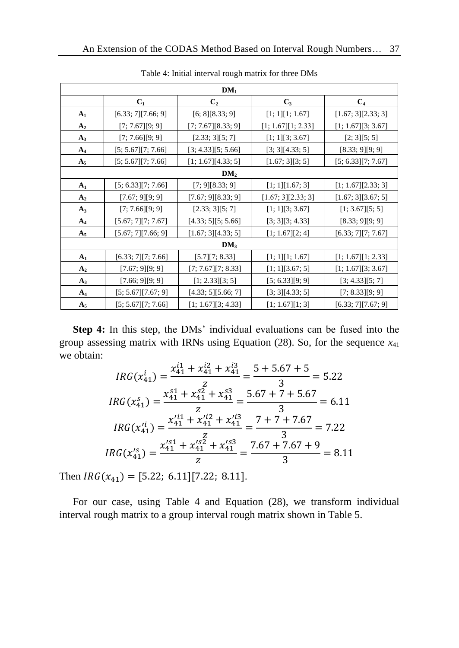|                |                    | DM <sub>1</sub>       |                    |                     |
|----------------|--------------------|-----------------------|--------------------|---------------------|
|                | C <sub>1</sub>     | C <sub>2</sub>        | $C_3$              | C <sub>4</sub>      |
| $A_1$          | [6.33; 7][7.66; 9] | [6; 8][8.33; 9]       | [1; 1][1; 1.67]    | [1.67; 3][2.33; 3]  |
| A <sub>2</sub> | [7; 7.67][9; 9]    | [7; 7.67][8.33; 9]    | [1; 1.67][1; 2.33] | [1; 1.67][3; 3.67]  |
| $A_3$          | [7; 7.66][9; 9]    | [2.33; 3][5; 7]       | [1; 1][3; 3.67]    | [2; 3][5; 5]        |
| $A_4$          | [5; 5.67][7; 7.66] | [3; 4.33][5; 5.66]    | [3; 3][4.33; 5]    | [8.33; 9][9; 9]     |
| $A_5$          | [5; 5.67][7; 7.66] | [1; 1.67][4.33; 5]    | [1.67; 3][3; 5]    | [5; 6.33][7; 7.67]  |
|                |                    | DM <sub>2</sub>       |                    |                     |
| $A_1$          | [5; 6.33][7; 7.66] | [7; 9][8.33; 9]       | [1; 1][1.67; 3]    | [1; 1.67] [2.33; 3] |
| A <sub>2</sub> | [7.67; 9][9; 9]    | [7.67; 9][8.33; 9]    | [1.67; 3][2.33; 3] | [1.67; 3][3.67; 5]  |
| $A_3$          | [7; 7.66][9; 9]    | [2.33; 3][5; 7]       | [1; 1][3; 3.67]    | [1; 3.67][5; 5]     |
| $A_4$          | [5.67; 7][7; 7.67] | [4.33; 5][5; 5.66]    | [3; 3][3; 4.33]    | [8.33; 9][9; 9]     |
| $A_5$          | [5.67; 7][7.66; 9] | [1.67; 3][4.33; 5]    | [1; 1.67][2; 4]    | [6.33; 7][7; 7.67]  |
|                |                    | DM <sub>3</sub>       |                    |                     |
| $A_1$          | [6.33; 7][7; 7.66] | [5.7][7; 8.33]        | [1; 1][1; 1.67]    | [1; 1.67][1; 2.33]  |
| A <sub>2</sub> | [7.67; 9][9; 9]    | $[7; 7.67]$ [7; 8.33] | [1; 1][3.67; 5]    | [1; 1.67][3; 3.67]  |
| $A_3$          | [7.66; 9][9; 9]    | [1; 2.33][3; 5]       | [5; 6.33][9; 9]    | [3; 4.33][5; 7]     |
| $A_4$          | [5; 5.67][7.67; 9] | [4.33; 5][5.66; 7]    | [3; 3][4.33; 5]    | [7; 8.33][9; 9]     |
| $A_5$          | [5; 5.67][7; 7.66] | [1; 1.67][3; 4.33]    | [1; 1.67][1; 3]    | [6.33; 7][7.67; 9]  |

Table 4: Initial interval rough matrix for three DMs

**Step 4:** In this step, the DMs' individual evaluations can be fused into the group assessing matrix with IRNs using Equation  $(28)$ . So, for the sequence  $x_{41}$ we obtain:

$$
IRG(x_{41}^i) = \frac{x_{41}^{i1} + x_{41}^{i2} + x_{41}^{i3}}{z} = \frac{5 + 5.67 + 5}{3} = 5.22
$$
  
\n
$$
IRG(x_{41}^s) = \frac{x_{41}^{s1} + x_{41}^{s2} + x_{41}^{s3}}{z} = \frac{5.67 + 7 + 5.67}{3} = 6.11
$$
  
\n
$$
IRG(x_{41}^{i1}) = \frac{x_{41}^{i1} + x_{41}^{i2} + x_{41}^{i3}}{z} = \frac{7 + 7 + 7.67}{3} = 7.22
$$
  
\n
$$
IRG(x_{41}^{s}) = \frac{x_{41}^{s1} + x_{41}^{s2} + x_{41}^{s3}}{z} = \frac{7.67 + 7.67 + 9}{3} = 8.11
$$

Then  $IRG(x_{41}) = [5.22; 6.11][7.22; 8.11].$ 

For our case, using Table 4 and Equation (28), we transform individual interval rough matrix to a group interval rough matrix shown in Table 5.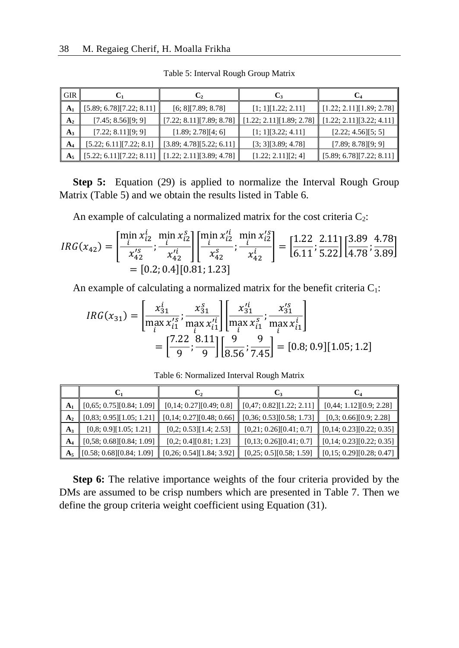| <b>GIR</b>     | C1                       | C,                       | C,                       | C4                       |
|----------------|--------------------------|--------------------------|--------------------------|--------------------------|
| A <sub>1</sub> | [5.89; 6.78][7.22; 8.11] | [6; 8][7.89; 8.78]       | [1; 1][1.22; 2.11]       | [1.22; 2.11][1.89; 2.78] |
| A <sub>2</sub> | [7.45; 8.56][9; 9]       | [7.22; 8.11][7.89; 8.78] | [1.22; 2.11][1.89; 2.78] | [1.22; 2.11][3.22; 4.11] |
| $A_3$          | [7.22; 8.11][9; 9]       | [1.89; 2.78][4; 6]       | [1; 1][3.22; 4.11]       | [2.22; 4.56][5; 5]       |
| $A_4$          | [5.22; 6.11][7.22; 8.1]  | [3.89; 4.78][5.22; 6.11] | [3; 3][3.89; 4.78]       | [7.89; 8.78][9; 9]       |
| A <sub>5</sub> | [5.22; 6.11][7.22; 8.11] | [1.22; 2.11][3.89; 4.78] | [1.22; 2.11][2; 4]       | [5.89; 6.78][7.22; 8.11] |

Table 5: Interval Rough Group Matrix

**Step 5:** Equation (29) is applied to normalize the Interval Rough Group Matrix (Table 5) and we obtain the results listed in Table 6.

An example of calculating a normalized matrix for the cost criteria  $C_2$ :

$$
IRG(x_{42}) = \left[\frac{\min\limits_{i} x_{i2}^{i}}{x_{42}^{'s}}; \frac{\min\limits_{i} x_{i2}^{s}}{x_{42}^{'i}}\right] \left[\frac{\min\limits_{i} x_{i2}^{'i}}{x_{42}^{s}}; \frac{\min\limits_{i} x_{i2}^{'s}}{x_{42}^{i}}\right] = \left[\frac{1.22}{6.11}; \frac{2.11}{5.22}\right] \left[\frac{3.89}{4.78}; \frac{4.78}{3.89}\right] = [0.2; 0.4][0.81; 1.23]
$$

An example of calculating a normalized matrix for the benefit criteria  $C_1$ :

$$
IRG(x_{31}) = \left[\frac{x_{31}^i}{\max_{i} x_{i1}^{rs}}; \frac{x_{31}^s}{\max_{i} x_{i1}^{ri}}\right] \left[\frac{x_{31}^{i1}}{\max_{i} x_{i1}^{s}}; \frac{x_{31}^{s}}{\max_{i} x_{i1}^{i}}\right]
$$

$$
= \left[\frac{7.22}{9}; \frac{8.11}{9}\right] \left[\frac{9}{8.56}; \frac{9}{7.45}\right] = [0.8; 0.9][1.05; 1.2]
$$

|                | C1                       | C2                       | C3                       | C4                       |
|----------------|--------------------------|--------------------------|--------------------------|--------------------------|
| A <sub>1</sub> | [0,65; 0.75][0.84; 1.09] | [0,14; 0.27][0.49; 0.8]  | [0,47; 0.82][1.22; 2.11] | [0,44; 1.12][0.9; 2.28]  |
| A <sub>2</sub> | [0,83; 0.95][1.05; 1.21] | [0,14; 0.27][0.48; 0.66] | [0,36; 0.53][0.58; 1.73] | [0,3; 0.66][0.9; 2.28]   |
| $A_3$          | [0,8; 0.9][1.05; 1.21]   | [0,2; 0.53][1.4; 2.53]   | [0,21; 0.26][0.41; 0.7]  | [0,14; 0.23][0.22; 0.35] |
| $A_4$          | [0,58; 0.68][0.84; 1.09] | [0,2; 0.4][0.81; 1.23]   | [0,13; 0.26][0.41; 0.7]  | [0,14; 0.23][0.22; 0.35] |
| $A_5$          | [0.58; 0.68][0.84; 1.09] | [0,26; 0.54][1.84; 3.92] | [0,25; 0.5][0.58; 1.59]  | [0,15; 0.29][0.28; 0.47] |

Table 6: Normalized Interval Rough Matrix

**Step 6:** The relative importance weights of the four criteria provided by the DMs are assumed to be crisp numbers which are presented in Table 7. Then we define the group criteria weight coefficient using Equation (31).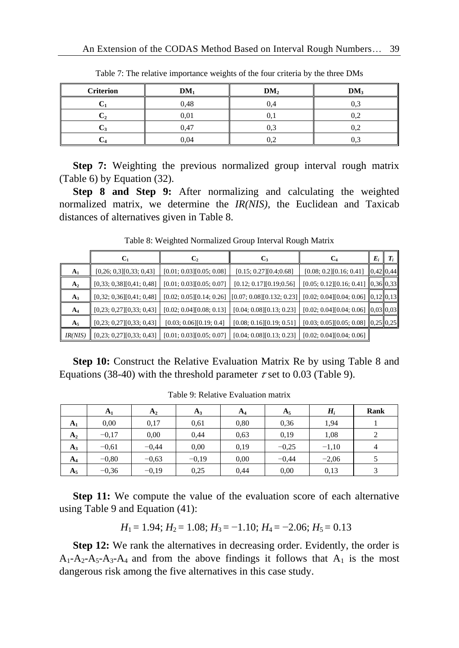| <b>Criterion</b> | $DM_1$ | DM <sub>2</sub> | DM <sub>3</sub> |
|------------------|--------|-----------------|-----------------|
|                  | 0,48   | 0.4             |                 |
|                  | 0,01   | U.              | 0,2             |
|                  | 0,47   | 0,3             | 0,2             |
|                  | 0,04   | 0.2             |                 |

Table 7: The relative importance weights of the four criteria by the three DMs

**Step 7:** Weighting the previous normalized group interval rough matrix (Table 6) by Equation (32).

**Step 8 and Step 9:** After normalizing and calculating the weighted normalized matrix, we determine the *IR(NIS)*, the Euclidean and Taxicab distances of alternatives given in Table 8.

Table 8: Weighted Normalized Group Interval Rough Matrix

 $\overline{\mathbf{r}}$ 

 $\blacksquare$ ÷

|                |                          |                          |                          |                                                                                                     | $E_i$     |  |
|----------------|--------------------------|--------------------------|--------------------------|-----------------------------------------------------------------------------------------------------|-----------|--|
| A <sub>1</sub> | [0,26; 0,3][0,33; 0,43]  | [0.01; 0.03][0.05; 0.08] | [0.15; 0.27][0.4; 0.68]  | [0.08; 0.2][0.16; 0.41]                                                                             | 0,42 0,44 |  |
| A <sub>2</sub> | [0,33; 0,38][0,41; 0,48] | [0.01; 0.03][0.05; 0.07] | [0.12; 0.17][0.19; 0.56] | $[0.05; 0.12][0.16; 0.41]$ 0,36 0,33                                                                |           |  |
| $A_3$          | [0,32; 0,36][0,41; 0,48] |                          |                          | $[0.02; 0.05][0.14; 0.26]$ $[0.07; 0.08][0.132; 0.23]$ $[0.02; 0.04][0.04; 0.06]$ $[0,12]$ $[0,13]$ |           |  |
| $A_4$          | [0,23; 0,27][0,33; 0,43] | [0.02; 0.04][0.08; 0.13] | [0.04; 0.08][0.13; 0.23] | $[0.02; 0.04][0.04; 0.06]$ 0,03 0,03                                                                |           |  |
| $A_5$          | [0,23; 0,27][0,33; 0,43] | [0.03; 0.06][0.19; 0.4]  |                          | $[0.08; 0.16][0.19; 0.51]$ $[0.03; 0.05][0.05; 0.08]$ $[0.25][0.25]$                                |           |  |
| IR(NIS)        | [0,23; 0,27][0,33; 0,43] | [0.01; 0.03][0.05; 0.07] | [0.04; 0.08][0.13; 0.23] | [0.02; 0.04][0.04; 0.06]                                                                            |           |  |

**Step 10:** Construct the Relative Evaluation Matrix Re by using Table 8 and Equations (38-40) with the threshold parameter  $\tau$  set to 0.03 (Table 9).

|                | A <sub>1</sub> | A <sub>2</sub> | $A_3$   | $A_4$ | $A_5$   | $H_i$   | Rank |
|----------------|----------------|----------------|---------|-------|---------|---------|------|
| A <sub>1</sub> | 0,00           | 0,17           | 0,61    | 0,80  | 0.36    | 1,94    |      |
| A <sub>2</sub> | $-0.17$        | 0.00           | 0.44    | 0.63  | 0.19    | 1,08    |      |
| $A_3$          | $-0.61$        | $-0.44$        | 0.00    | 0.19  | $-0.25$ | $-1,10$ | 4    |
| $A_4$          | $-0.80$        | $-0.63$        | $-0.19$ | 0,00  | $-0.44$ | $-2,06$ |      |
| $A_{5}$        | $-0.36$        | $-0.19$        | 0.25    | 0.44  | 0.00    | 0,13    | 3    |

Table 9: Relative Evaluation matrix

**Step 11:** We compute the value of the evaluation score of each alternative using Table 9 and Equation (41):

$$
H_1 = 1.94
$$
;  $H_2 = 1.08$ ;  $H_3 = -1.10$ ;  $H_4 = -2.06$ ;  $H_5 = 0.13$ 

**Step 12:** We rank the alternatives in decreasing order. Evidently, the order is  $A_1-A_2-A_5-A_3-A_4$  and from the above findings it follows that  $A_1$  is the most dangerous risk among the five alternatives in this case study.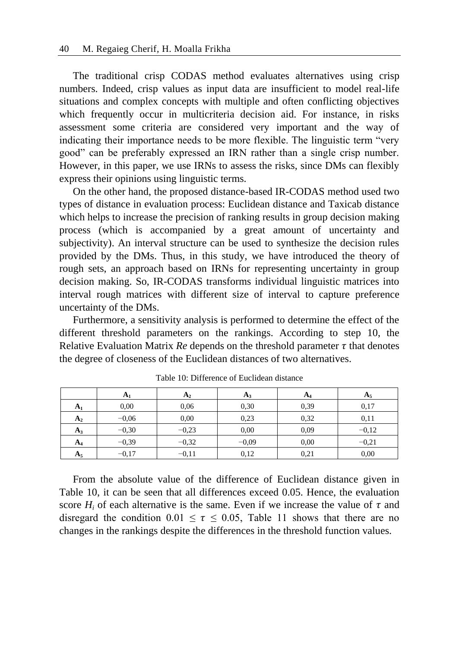The traditional crisp CODAS method evaluates alternatives using crisp numbers. Indeed, crisp values as input data are insufficient to model real-life situations and complex concepts with multiple and often conflicting objectives which frequently occur in multicriteria decision aid. For instance, in risks assessment some criteria are considered very important and the way of indicating their importance needs to be more flexible. The linguistic term "very good" can be preferably expressed an IRN rather than a single crisp number. However, in this paper, we use IRNs to assess the risks, since DMs can flexibly express their opinions using linguistic terms.

On the other hand, the proposed distance-based IR-CODAS method used two types of distance in evaluation process: Euclidean distance and Taxicab distance which helps to increase the precision of ranking results in group decision making process (which is accompanied by a great amount of uncertainty and subjectivity). An interval structure can be used to synthesize the decision rules provided by the DMs. Thus, in this study, we have introduced the theory of rough sets, an approach based on IRNs for representing uncertainty in group decision making. So, IR-CODAS transforms individual linguistic matrices into interval rough matrices with different size of interval to capture preference uncertainty of the DMs.

Furthermore, a sensitivity analysis is performed to determine the effect of the different threshold parameters on the rankings. According to step 10, the Relative Evaluation Matrix  $Re$  depends on the threshold parameter  $\tau$  that denotes the degree of closeness of the Euclidean distances of two alternatives.

|                | A <sub>1</sub> | A <sub>2</sub> | $A_3$   | A <sub>4</sub> | $A_5$   |
|----------------|----------------|----------------|---------|----------------|---------|
| A <sub>1</sub> | 0,00           | 0,06           | 0.30    | 0,39           | 0,17    |
| A <sub>2</sub> | $-0.06$        | 0,00           | 0,23    | 0.32           | 0.11    |
| $A_3$          | $-0.30$        | $-0.23$        | 0,00    | 0.09           | $-0.12$ |
| A <sub>4</sub> | $-0.39$        | $-0.32$        | $-0,09$ | 0.00           | $-0.21$ |
| $A_5$          | $-0,17$        | $-0,11$        | 0.12    | 0,21           | 0,00    |

Table 10: Difference of Euclidean distance

From the absolute value of the difference of Euclidean distance given in Table 10, it can be seen that all differences exceed 0.05. Hence, the evaluation score  $H_i$  of each alternative is the same. Even if we increase the value of  $\tau$  and disregard the condition  $0.01 \le \tau \le 0.05$ , Table 11 shows that there are no changes in the rankings despite the differences in the threshold function values.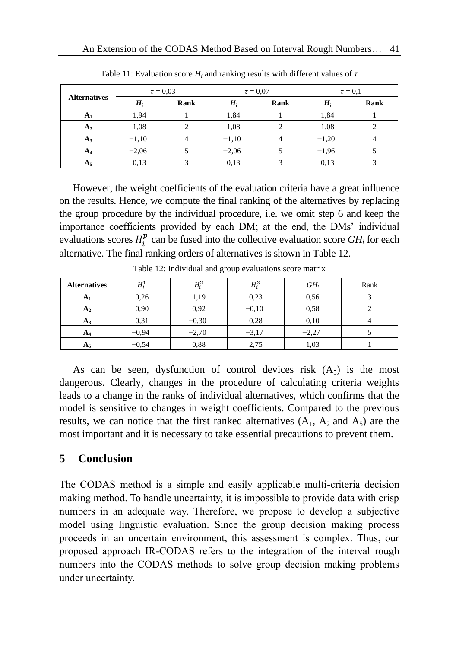|                     |         | $\tau = 0.03$ | $\tau = 0.07$ |      | $\tau = 0.1$ |      |
|---------------------|---------|---------------|---------------|------|--------------|------|
| <b>Alternatives</b> | $H_i$   | Rank          | $H_i$         | Rank | $H_i$        | Rank |
| A <sub>1</sub>      | 1,94    |               | 1,84          |      | 1,84         |      |
| A <sub>2</sub>      | 1,08    |               | 1,08          |      | 1,08         |      |
| $A_3$               | $-1,10$ |               | $-1,10$       |      | $-1,20$      |      |
| $A_4$               | $-2,06$ |               | $-2,06$       |      | $-1,96$      |      |
| $A_5$               | 0,13    |               | 0,13          |      | 0,13         |      |

Table 11: Evaluation score  $H_i$  and ranking results with different values of  $\tau$ 

However, the weight coefficients of the evaluation criteria have a great influence on the results. Hence, we compute the final ranking of the alternatives by replacing the group procedure by the individual procedure, i.e. we omit step 6 and keep the importance coefficients provided by each DM; at the end, the DMs' individual evaluations scores  $H_i^p$  can be fused into the collective evaluation score  $GH_i$  for each alternative. The final ranking orders of alternatives is shown in Table 12.

| <b>Alternatives</b> | $H^1_i$ | $H_i^2$ | $H_i^3$ | $GH_i$  | Rank |
|---------------------|---------|---------|---------|---------|------|
| A <sub>1</sub>      | 0,26    | 1,19    | 0,23    | 0.56    |      |
| A <sub>2</sub>      | 0,90    | 0.92    | $-0.10$ | 0.58    |      |
| $A_3$               | 0,31    | $-0.30$ | 0,28    | 0,10    |      |
| A <sub>4</sub>      | $-0.94$ | $-2,70$ | $-3,17$ | $-2,27$ |      |
| $A_5$               | $-0,54$ | 0,88    | 2,75    | 1,03    |      |

Table 12: Individual and group evaluations score matrix

As can be seen, dysfunction of control devices risk  $(A_5)$  is the most dangerous. Clearly, changes in the procedure of calculating criteria weights leads to a change in the ranks of individual alternatives, which confirms that the model is sensitive to changes in weight coefficients. Compared to the previous results, we can notice that the first ranked alternatives  $(A_1, A_2 \text{ and } A_5)$  are the most important and it is necessary to take essential precautions to prevent them.

# **5 Conclusion**

The CODAS method is a simple and easily applicable multi-criteria decision making method. To handle uncertainty, it is impossible to provide data with crisp numbers in an adequate way. Therefore, we propose to develop a subjective model using linguistic evaluation. Since the group decision making process proceeds in an uncertain environment, this assessment is complex. Thus, our proposed approach IR-CODAS refers to the integration of the interval rough numbers into the CODAS methods to solve group decision making problems under uncertainty.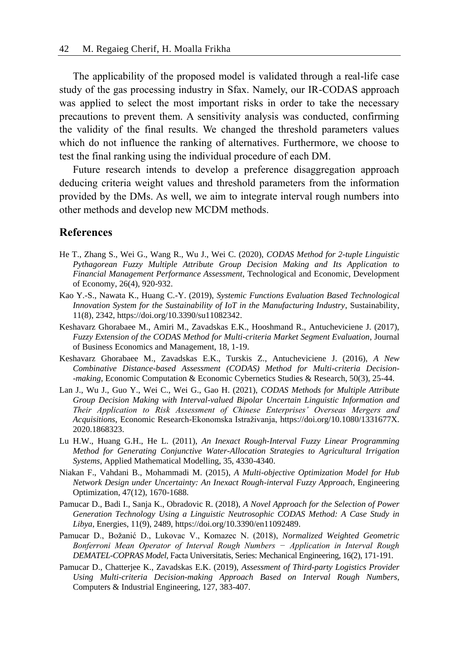The applicability of the proposed model is validated through a real-life case study of the gas processing industry in Sfax. Namely, our IR-CODAS approach was applied to select the most important risks in order to take the necessary precautions to prevent them. A sensitivity analysis was conducted, confirming the validity of the final results. We changed the threshold parameters values which do not influence the ranking of alternatives. Furthermore, we choose to test the final ranking using the individual procedure of each DM.

Future research intends to develop a preference disaggregation approach deducing criteria weight values and threshold parameters from the information provided by the DMs. As well, we aim to integrate interval rough numbers into other methods and develop new MCDM methods.

#### **References**

- He T., Zhang S., Wei G., Wang R., Wu J., Wei C. (2020), *CODAS Method for 2-tuple Linguistic Pythagorean Fuzzy Multiple Attribute Group Decision Making and Its Application to Financial Management Performance Assessment*, Technological and Economic, Development of Economy, 26(4), 920-932.
- Kao Y.-S., Nawata K., Huang C.-Y. (2019), *Systemic Functions Evaluation Based Technological Innovation System for the Sustainability of IoT in the Manufacturing Industry*, Sustainability, 11(8), 2342, https://doi.org/10.3390/su11082342.
- Keshavarz Ghorabaee M., Amiri M., Zavadskas E.K., Hooshmand R., Antucheviciene J. (2017), *Fuzzy Extension of the CODAS Method for Multi-criteria Market Segment Evaluation*, Journal of Business Economics and Management, 18, 1-19.
- Keshavarz Ghorabaee M., Zavadskas E.K., Turskis Z., Antucheviciene J. (2016), *A New Combinative Distance-based Assessment (CODAS) Method for Multi-criteria Decision- -making*, Economic Computation & Economic Cybernetics Studies & Research, 50(3), 25-44.
- Lan J., Wu J., Guo Y., Wei C., Wei G., Gao H. (2021), *CODAS Methods for Multiple Attribute Group Decision Making with Interval-valued Bipolar Uncertain Linguistic Information and Their Application to Risk Assessment of Chinese Enterprises' Overseas Mergers and Acquisitions*, Economic Research-Ekonomska Istraživanja, https://doi.org/10.1080/1331677X. 2020.1868323.
- Lu H.W., Huang G.H., He L. (2011), *An Inexact Rough-Interval Fuzzy Linear Programming Method for Generating Conjunctive Water-Allocation Strategies to Agricultural Irrigation Systems*, Applied Mathematical Modelling, 35, 4330-4340.
- Niakan F., Vahdani B., Mohammadi M. (2015), *A Multi-objective Optimization Model for Hub Network Design under Uncertainty: An Inexact Rough-interval Fuzzy Approach*, Engineering Optimization, 47(12), 1670-1688.
- Pamucar D., Badi I., Sanja K., Obradovic R. (2018), *A Novel Approach for the Selection of Power Generation Technology Using a Linguistic Neutrosophic CODAS Method: A Case Study in Libya*, Energies, 11(9), 2489, https://doi.org/10.3390/en11092489.
- Pamucar D., Božanić D., Lukovac V., Komazec N. (2018), *Normalized Weighted Geometric Bonferroni Mean Operator of Interval Rough Numbers − Application in Interval Rough DEMATEL-COPRAS Model*, Facta Universitatis, Series: Mechanical Engineering, 16(2), 171-191.
- Pamucar D., Chatterjee K., Zavadskas E.K. (2019), *Assessment of Third-party Logistics Provider Using Multi-criteria Decision-making Approach Based on Interval Rough Numbers*, Computers & Industrial Engineering, 127, 383-407.